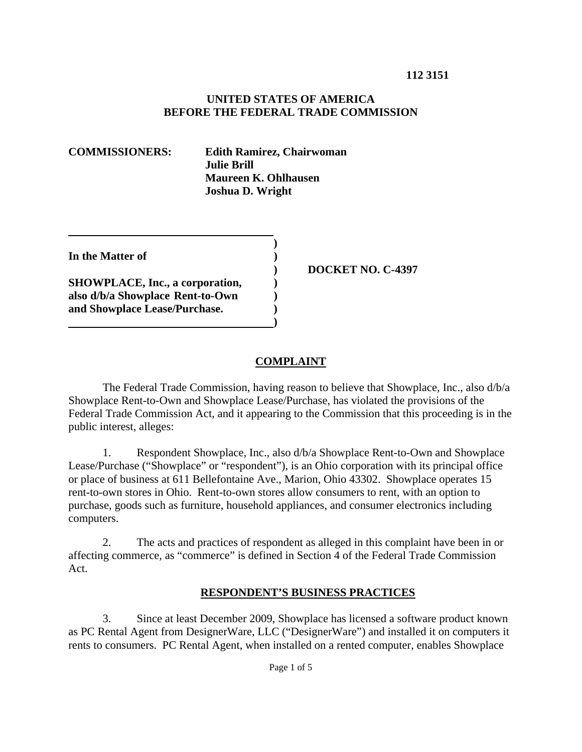#### **UNITED STATES OF AMERICA BEFORE THE FEDERAL TRADE COMMISSION**

**COMMISSIONERS: Edith Ramirez, Chairwoman Julie Brill Maureen K. Ohlhausen Joshua D. Wright**

**In the Matter of )** 

**SHOWPLACE, Inc., a corporation, (i) also d/b/a Showplace Rent-to-Own ) and Showplace Lease/Purchase. )** 

 **)** 

 **)** 

 **) DOCKET NO. C-4397** 

# **COMPLAINT**

 The Federal Trade Commission, having reason to believe that Showplace, Inc., also d/b/a Showplace Rent-to-Own and Showplace Lease/Purchase, has violated the provisions of the Federal Trade Commission Act, and it appearing to the Commission that this proceeding is in the public interest, alleges:

1. Respondent Showplace, Inc., also d/b/a Showplace Rent-to-Own and Showplace Lease/Purchase ("Showplace" or "respondent"), is an Ohio corporation with its principal office or place of business at 611 Bellefontaine Ave., Marion, Ohio 43302. Showplace operates 15 rent-to-own stores in Ohio. Rent-to-own stores allow consumers to rent, with an option to purchase, goods such as furniture, household appliances, and consumer electronics including computers.

2. The acts and practices of respondent as alleged in this complaint have been in or affecting commerce, as "commerce" is defined in Section 4 of the Federal Trade Commission Act.

# **RESPONDENT'S BUSINESS PRACTICES**

3. Since at least December 2009, Showplace has licensed a software product known as PC Rental Agent from DesignerWare, LLC ("DesignerWare") and installed it on computers it rents to consumers. PC Rental Agent, when installed on a rented computer, enables Showplace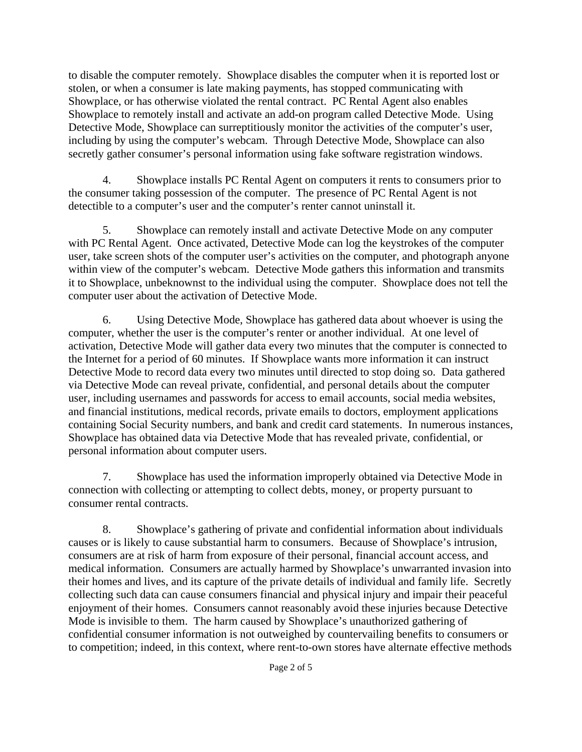to disable the computer remotely. Showplace disables the computer when it is reported lost or stolen, or when a consumer is late making payments, has stopped communicating with Showplace, or has otherwise violated the rental contract. PC Rental Agent also enables Showplace to remotely install and activate an add-on program called Detective Mode. Using Detective Mode, Showplace can surreptitiously monitor the activities of the computer's user, including by using the computer's webcam. Through Detective Mode, Showplace can also secretly gather consumer's personal information using fake software registration windows.

4. Showplace installs PC Rental Agent on computers it rents to consumers prior to the consumer taking possession of the computer. The presence of PC Rental Agent is not detectible to a computer's user and the computer's renter cannot uninstall it.

5. Showplace can remotely install and activate Detective Mode on any computer with PC Rental Agent. Once activated, Detective Mode can log the keystrokes of the computer user, take screen shots of the computer user's activities on the computer, and photograph anyone within view of the computer's webcam. Detective Mode gathers this information and transmits it to Showplace, unbeknownst to the individual using the computer. Showplace does not tell the computer user about the activation of Detective Mode.

6. Using Detective Mode, Showplace has gathered data about whoever is using the computer, whether the user is the computer's renter or another individual. At one level of activation, Detective Mode will gather data every two minutes that the computer is connected to the Internet for a period of 60 minutes. If Showplace wants more information it can instruct Detective Mode to record data every two minutes until directed to stop doing so. Data gathered via Detective Mode can reveal private, confidential, and personal details about the computer user, including usernames and passwords for access to email accounts, social media websites, and financial institutions, medical records, private emails to doctors, employment applications containing Social Security numbers, and bank and credit card statements. In numerous instances, Showplace has obtained data via Detective Mode that has revealed private, confidential, or personal information about computer users.

7. Showplace has used the information improperly obtained via Detective Mode in connection with collecting or attempting to collect debts, money, or property pursuant to consumer rental contracts.

8. Showplace's gathering of private and confidential information about individuals causes or is likely to cause substantial harm to consumers. Because of Showplace's intrusion, consumers are at risk of harm from exposure of their personal, financial account access, and medical information. Consumers are actually harmed by Showplace's unwarranted invasion into their homes and lives, and its capture of the private details of individual and family life. Secretly collecting such data can cause consumers financial and physical injury and impair their peaceful enjoyment of their homes. Consumers cannot reasonably avoid these injuries because Detective Mode is invisible to them. The harm caused by Showplace's unauthorized gathering of confidential consumer information is not outweighed by countervailing benefits to consumers or to competition; indeed, in this context, where rent-to-own stores have alternate effective methods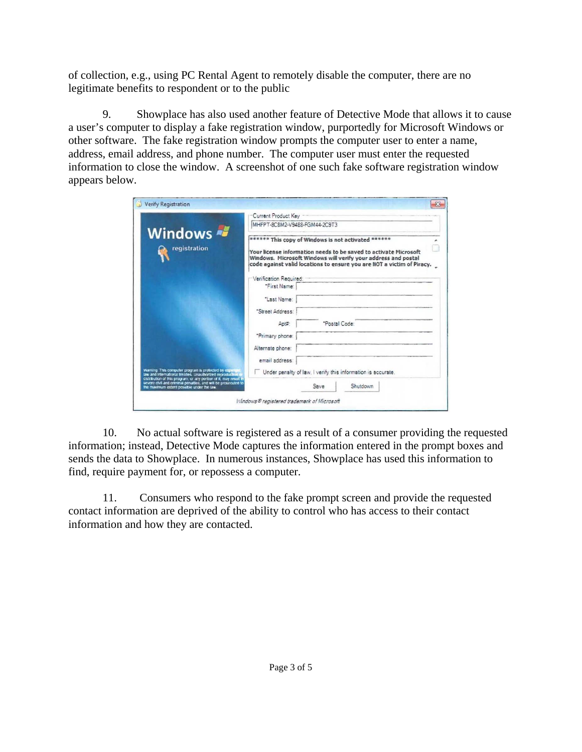of collection, e.g., using PC Rental Agent to remotely disable the computer, there are no legitimate benefits to respondent or to the public

9. Showplace has also used another feature of Detective Mode that allows it to cause a user's computer to display a fake registration window, purportedly for Microsoft Windows or other software. The fake registration window prompts the computer user to enter a name, address, email address, and phone number. The computer user must enter the requested information to close the window. A screenshot of one such fake software registration window appears below.

| Verify Registration                                                                                                                                                                                                                                                                                       |                                                                                                                                                                                                                                                                                                                             |               |          |  |
|-----------------------------------------------------------------------------------------------------------------------------------------------------------------------------------------------------------------------------------------------------------------------------------------------------------|-----------------------------------------------------------------------------------------------------------------------------------------------------------------------------------------------------------------------------------------------------------------------------------------------------------------------------|---------------|----------|--|
| Windows<br>registration                                                                                                                                                                                                                                                                                   | Current Product Key<br>MHFPT-8C8M2-V9488-FGM44-2C9T3<br>****** This copy of Windows is not activated ******<br>Your license information needs to be saved to activate Microsoft<br>Windows. Microsoft Windows will verify your address and postal<br>code against valid locations to ensure you are NOT a victim of Piracy. |               |          |  |
|                                                                                                                                                                                                                                                                                                           |                                                                                                                                                                                                                                                                                                                             |               |          |  |
|                                                                                                                                                                                                                                                                                                           |                                                                                                                                                                                                                                                                                                                             |               |          |  |
|                                                                                                                                                                                                                                                                                                           | Verification Required:                                                                                                                                                                                                                                                                                                      |               |          |  |
|                                                                                                                                                                                                                                                                                                           | "First Name:                                                                                                                                                                                                                                                                                                                |               |          |  |
|                                                                                                                                                                                                                                                                                                           | "Last Name:                                                                                                                                                                                                                                                                                                                 |               |          |  |
|                                                                                                                                                                                                                                                                                                           | "Street Address:                                                                                                                                                                                                                                                                                                            |               |          |  |
|                                                                                                                                                                                                                                                                                                           | Antz                                                                                                                                                                                                                                                                                                                        | "Postal Code: |          |  |
|                                                                                                                                                                                                                                                                                                           | "Primary phone:                                                                                                                                                                                                                                                                                                             |               |          |  |
|                                                                                                                                                                                                                                                                                                           | Alternate phone:                                                                                                                                                                                                                                                                                                            |               |          |  |
|                                                                                                                                                                                                                                                                                                           | email address:                                                                                                                                                                                                                                                                                                              |               |          |  |
| Waming. This computer program is protected by copyright<br>law and international treaties. Unauthorized reproduction<br>distribution of this program, or any portion of it, may result in<br>severe civil and criminal penalties, and will be prosecuted to<br>the maximum extent possible under the law. | Under penalty of law, I verify this information is accurate.                                                                                                                                                                                                                                                                |               |          |  |
|                                                                                                                                                                                                                                                                                                           |                                                                                                                                                                                                                                                                                                                             | Save          | Shutdown |  |
|                                                                                                                                                                                                                                                                                                           | Windows® reaistered trademark of Microsoft                                                                                                                                                                                                                                                                                  |               |          |  |

10. No actual software is registered as a result of a consumer providing the requested information; instead, Detective Mode captures the information entered in the prompt boxes and sends the data to Showplace. In numerous instances, Showplace has used this information to find, require payment for, or repossess a computer.

11. Consumers who respond to the fake prompt screen and provide the requested contact information are deprived of the ability to control who has access to their contact information and how they are contacted.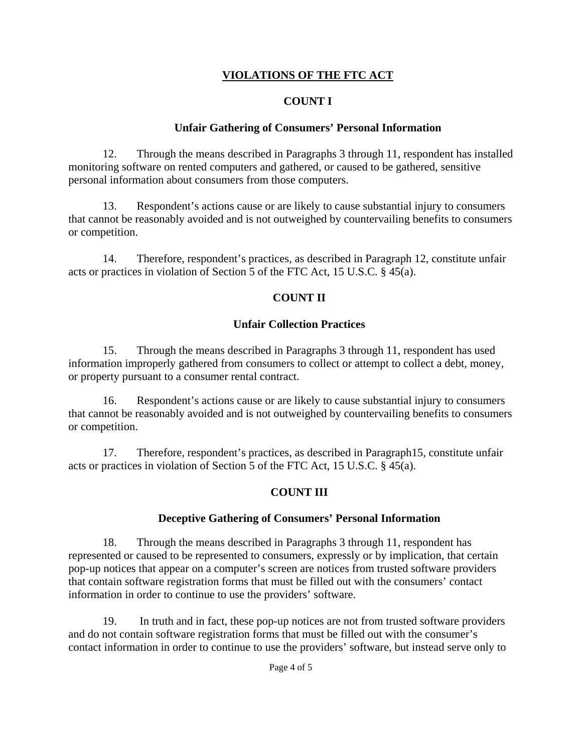# **VIOLATIONS OF THE FTC ACT**

### **COUNT I**

#### **Unfair Gathering of Consumers' Personal Information**

12. Through the means described in Paragraphs 3 through 11, respondent has installed monitoring software on rented computers and gathered, or caused to be gathered, sensitive personal information about consumers from those computers.

13. Respondent's actions cause or are likely to cause substantial injury to consumers that cannot be reasonably avoided and is not outweighed by countervailing benefits to consumers or competition.

14. Therefore, respondent's practices, as described in Paragraph 12, constitute unfair acts or practices in violation of Section 5 of the FTC Act, 15 U.S.C. § 45(a).

### **COUNT II**

#### **Unfair Collection Practices**

15. Through the means described in Paragraphs 3 through 11, respondent has used information improperly gathered from consumers to collect or attempt to collect a debt, money, or property pursuant to a consumer rental contract.

16. Respondent's actions cause or are likely to cause substantial injury to consumers that cannot be reasonably avoided and is not outweighed by countervailing benefits to consumers or competition.

17. Therefore, respondent's practices, as described in Paragraph15, constitute unfair acts or practices in violation of Section 5 of the FTC Act, 15 U.S.C. § 45(a).

#### **COUNT III**

#### **Deceptive Gathering of Consumers' Personal Information**

18. Through the means described in Paragraphs 3 through 11, respondent has represented or caused to be represented to consumers, expressly or by implication, that certain pop-up notices that appear on a computer's screen are notices from trusted software providers that contain software registration forms that must be filled out with the consumers' contact information in order to continue to use the providers' software.

19. In truth and in fact, these pop-up notices are not from trusted software providers and do not contain software registration forms that must be filled out with the consumer's contact information in order to continue to use the providers' software, but instead serve only to